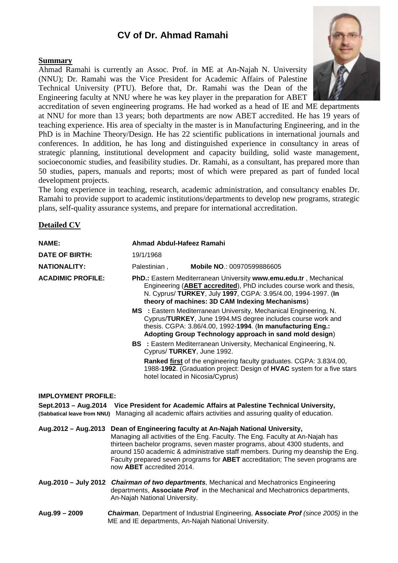# **CV of Dr. Ahmad Ramahi**

## **Summary**

Ahmad Ramahi is currently an Assoc. Prof. in ME at An-Najah N. University (NNU); Dr. Ramahi was the Vice President for Academic Affairs of Palestine Technical University (PTU). Before that, Dr. Ramahi was the Dean of the Engineering faculty at NNU where he was key player in the preparation for ABET



accreditation of seven engineering programs. He had worked as a head of IE and ME departments at NNU for more than 13 years; both departments are now ABET accredited. He has 19 years of teaching experience. His area of specialty in the master is in Manufacturing Engineering, and in the PhD is in Machine Theory/Design. He has 22 scientific publications in international journals and conferences. In addition, he has long and distinguished experience in consultancy in areas of strategic planning, institutional development and capacity building, solid waste management, socioeconomic studies, and feasibility studies. Dr. Ramahi, as a consultant, has prepared more than 50 studies, papers, manuals and reports; most of which were prepared as part of funded local development projects.

The long experience in teaching, research, academic administration, and consultancy enables Dr. Ramahi to provide support to academic institutions/departments to develop new programs, strategic plans, self-quality assurance systems, and prepare for international accreditation.

## **Detailed CV**

| NAME:                                                                                                                                                                                                     | Ahmad Abdul-Hafeez Ramahi                                                                                                                                                                                                                                    |                                                                                                                                                                                          |  |
|-----------------------------------------------------------------------------------------------------------------------------------------------------------------------------------------------------------|--------------------------------------------------------------------------------------------------------------------------------------------------------------------------------------------------------------------------------------------------------------|------------------------------------------------------------------------------------------------------------------------------------------------------------------------------------------|--|
| <b>DATE OF BIRTH:</b>                                                                                                                                                                                     | 19/1/1968                                                                                                                                                                                                                                                    |                                                                                                                                                                                          |  |
| <b>NATIONALITY:</b>                                                                                                                                                                                       | Palestinian,                                                                                                                                                                                                                                                 | <b>Mobile NO.: 00970599886605</b>                                                                                                                                                        |  |
| <b>ACADIMIC PROFILE:</b>                                                                                                                                                                                  | PhD.: Eastern Mediterranean University www.emu.edu.tr, Mechanical<br>Engineering (ABET accredited), PhD includes course work and thesis,<br>N. Cyprus/ TURKEY, July 1997, CGPA: 3.95/4.00, 1994-1997. (In<br>theory of machines: 3D CAM Indexing Mechanisms) |                                                                                                                                                                                          |  |
|                                                                                                                                                                                                           | MS : Eastern Mediterranean University, Mechanical Engineering, N.<br>Cyprus/TURKEY, June 1994.MS degree includes course work and<br>thesis. CGPA: 3.86/4.00, 1992-1994. (In manufacturing Eng.:<br>Adopting Group Technology approach in sand mold design)   |                                                                                                                                                                                          |  |
|                                                                                                                                                                                                           | Cyprus/ TURKEY, June 1992.                                                                                                                                                                                                                                   | <b>BS</b> : Eastern Mediterranean University, Mechanical Engineering, N.                                                                                                                 |  |
|                                                                                                                                                                                                           |                                                                                                                                                                                                                                                              | <b>Ranked first</b> of the engineering faculty graduates. CGPA: 3.83/4.00,<br>1988-1992. (Graduation project: Design of HVAC system for a five stars<br>hotel located in Nicosia/Cyprus) |  |
| <b>IMPLOYMENT PROFILE:</b>                                                                                                                                                                                |                                                                                                                                                                                                                                                              |                                                                                                                                                                                          |  |
| Sept.2013 - Aug.2014<br>Vice President for Academic Affairs at Palestine Technical University,<br>(Sabbatical leave from NNU) Managing all academic affairs activities and assuring quality of education. |                                                                                                                                                                                                                                                              |                                                                                                                                                                                          |  |
|                                                                                                                                                                                                           |                                                                                                                                                                                                                                                              | Aug.2012 – Aug.2013 Dean of Engineering faculty at An-Najah National University,                                                                                                         |  |

Managing all activities of the Eng. Faculty. The Eng. Faculty at An-Najah has thirteen bachelor programs, seven master programs, about 4300 students, and around 150 academic & administrative staff members. During my deanship the Eng. Faculty prepared seven programs for **ABET** accreditation; The seven programs are now **ABET** accredited 2014.

**Aug.2010 – July 2012** *Chairman of two departments,* Mechanical and Mechatronics Engineering departments, **Associate** *Prof* in the Mechanical and Mechatronics departments, An-Najah National University.

#### **Aug.99 – 2009** *Chairman,* Department of Industrial Engineering, **Associate** *Prof (since 2005)* in the ME and IE departments, An-Najah National University.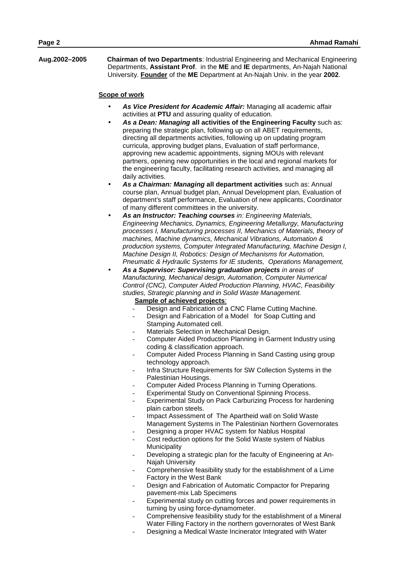**Aug.2002–2005 Chairman of two Departments**: Industrial Engineering and Mechanical Engineering Departments, **Assistant Prof**. in the **ME** and **IE** departments, An-Najah National University. **Founder** of the **ME** Department at An-Najah Univ. in the year **2002**.

#### **Scope of work**

- *As Vice President for Academic Affair:* Managing all academic affair activities at **PTU** and assuring quality of education.
- *As a Dean: Managing* **all activities of the Engineering Faculty** such as: preparing the strategic plan, following up on all ABET requirements, directing all departments activities, following up on updating program curricula, approving budget plans, Evaluation of staff performance, approving new academic appointments, signing MOUs with relevant partners, opening new opportunities in the local and regional markets for the engineering faculty, facilitating research activities, and managing all daily activities.
- *As a Chairman: Managing* **all department activities** such as: Annual course plan, Annual budget plan, Annual Development plan, Evaluation of department's staff performance, Evaluation of new applicants, Coordinator of many different committees in the university.
- *As an Instructor: Teaching courses in: Engineering Materials, Engineering Mechanics, Dynamics, Engineering Metallurgy, Manufacturing processes I, Manufacturing processes II, Mechanics of Materials, theory of machines, Machine dynamics, Mechanical Vibrations, Automation & production systems, Computer Integrated Manufacturing, Machine Design I, Machine Design II, Robotics: Design of Mechanisms for Automation, Pneumatic & Hydraulic Systems for IE students, Operations Management,*
- *As a Supervisor: Supervising graduation projects in areas of Manufacturing, Mechanical design, Automation, Computer Numerical Control (CNC), Computer Aided Production Planning, HVAC, Feasibility studies, Strategic planning and in Solid Waste Management.*

## **Sample of achieved projects**:

- Design and Fabrication of a CNC Flame Cutting Machine.
- Design and Fabrication of a Model for Soap Cutting and Stamping Automated cell.
- Materials Selection in Mechanical Design.
- Computer Aided Production Planning in Garment Industry using coding & classification approach.
- Computer Aided Process Planning in Sand Casting using group technology approach.
- Infra Structure Requirements for SW Collection Systems in the Palestinian Housings.
- Computer Aided Process Planning in Turning Operations.
- Experimental Study on Conventional Spinning Process.
- Experimental Study on Pack Carburizing Process for hardening plain carbon steels.
- Impact Assessment of The Apartheid wall on Solid Waste Management Systems in The Palestinian Northern Governorates
- Designing a proper HVAC system for Nablus Hospital Cost reduction options for the Solid Waste system of Nablus
- **Municipality**
- Developing a strategic plan for the faculty of Engineering at An- Najah University
- Comprehensive feasibility study for the establishment of a Lime Factory in the West Bank
- Design and Fabrication of Automatic Compactor for Preparing pavement-mix Lab Specimens
- Experimental study on cutting forces and power requirements in turning by using force-dynamometer.
- Comprehensive feasibility study for the establishment of a Mineral Water Filling Factory in the northern governorates of West Bank
- Designing a Medical Waste Incinerator Integrated with Water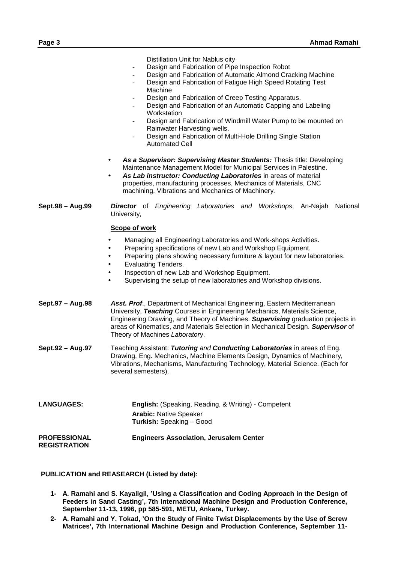| <b>PROFESSIONAL</b><br><b>REGISTRATION</b> | <b>Engineers Association, Jerusalem Center</b>                                                                                                                                                                                                                                                                                                                                                                                                                                                                                                                          |
|--------------------------------------------|-------------------------------------------------------------------------------------------------------------------------------------------------------------------------------------------------------------------------------------------------------------------------------------------------------------------------------------------------------------------------------------------------------------------------------------------------------------------------------------------------------------------------------------------------------------------------|
| <b>LANGUAGES:</b>                          | <b>English:</b> (Speaking, Reading, & Writing) - Competent<br><b>Arabic: Native Speaker</b><br>Turkish: Speaking - Good                                                                                                                                                                                                                                                                                                                                                                                                                                                 |
| Sept.92 - Aug.97                           | Teaching Assistant: Tutoring and Conducting Laboratories in areas of Eng.<br>Drawing, Eng. Mechanics, Machine Elements Design, Dynamics of Machinery,<br>Vibrations, Mechanisms, Manufacturing Technology, Material Science. (Each for<br>several semesters).                                                                                                                                                                                                                                                                                                           |
| Sept.97 - Aug.98                           | Asst. Prof., Department of Mechanical Engineering, Eastern Mediterranean<br>University, Teaching Courses in Engineering Mechanics, Materials Science,<br>Engineering Drawing, and Theory of Machines. Supervising graduation projects in<br>areas of Kinematics, and Materials Selection in Mechanical Design. Supervisor of<br>Theory of Machines Laboratory.                                                                                                                                                                                                          |
|                                            | Ñ<br>Managing all Engineering Laboratories and Work-shops Activities.<br>Ñ<br>Preparing specifications of new Lab and Workshop Equipment.<br>Ñ<br>Preparing plans showing necessary furniture & layout for new laboratories.<br>Ñ<br><b>Evaluating Tenders.</b><br>Ñ<br>Inspection of new Lab and Workshop Equipment.<br>Ñ<br>Supervising the setup of new laboratories and Workshop divisions.                                                                                                                                                                         |
| Sept.98 - Aug.99                           | <b>Director</b> of <i>Engineering Laboratories and Workshops</i> , An-Najah National<br>University,<br><b>Scope of work</b>                                                                                                                                                                                                                                                                                                                                                                                                                                             |
|                                            | Design and Fabrication of Windmill Water Pump to be mounted on<br>$\overline{\phantom{a}}$<br>Rainwater Harvesting wells.<br>Design and Fabrication of Multi-Hole Drilling Single Station<br><b>Automated Cell</b><br>Ñ<br>As a Supervisor: Supervising Master Students: Thesis title: Developing<br>Maintenance Management Model for Municipal Services in Palestine.<br>Ñ<br>As Lab instructor: Conducting Laboratories in areas of material<br>properties, manufacturing processes, Mechanics of Materials, CNC<br>machining, Vibrations and Mechanics of Machinery. |
|                                            | Machine<br>Design and Fabrication of Creep Testing Apparatus.<br>$\overline{a}$<br>Design and Fabrication of an Automatic Capping and Labeling<br>$\overline{\phantom{a}}$<br>Workstation                                                                                                                                                                                                                                                                                                                                                                               |
|                                            | Distillation Unit for Nablus city<br>Design and Fabrication of Pipe Inspection Robot<br>Design and Fabrication of Automatic Almond Cracking Machine<br>Design and Fabrication of Fatigue High Speed Rotating Test                                                                                                                                                                                                                                                                                                                                                       |

### **PUBLICATION and REASEARCH (Listed by date):**

- **1- A. Ramahi and S. Kayaligil, 'Using a Classification and Coding Approach in the Design of Feeders in Sand Casting', 7th International Machine Design and Production Conference, September 11-13, 1996, pp 585-591, METU, Ankara, Turkey.**
- **2- A. Ramahi and Y. Tokad, 'On the Study of Finite Twist Displacements by the Use of Screw Matrices', 7th International Machine Design and Production Conference, September 11-**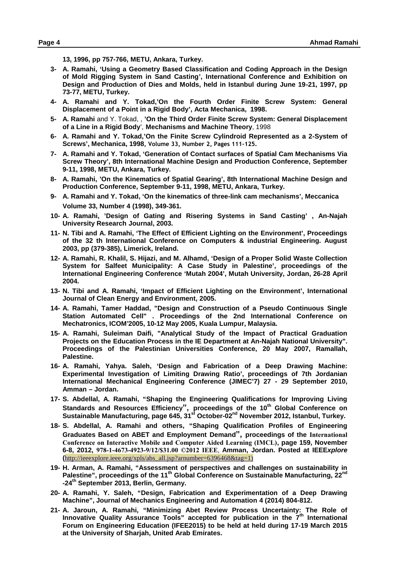**13, 1996, pp 757-766, METU, Ankara, Turkey.**

- **3- A. Ramahi, 'Using a Geometry Based Classification and Coding Approach in the Design of Mold Rigging System in Sand Casting', International Conference and Exhibition on Design and Production of Dies and Molds, held in Istanbul during June 19-21, 1997, pp 73-77, METU, Turkey.**
- **4- A. Ramahi and Y. Tokad,'On the Fourth Order Finite Screw System: General Displacement of a Point in a Rigid Body', Acta Mechanica, 1998.**
- **5- A. Ramahi** and Y. Tokad, , **'On the Third Order Finite Screw System: General Displacement of a Line in a Rigid Body**', **Mechanisms and Machine Theory**, 1998
- **6- A. Ramahi and Y. Tokad,'On the Finite Screw Cylindroid Represented as a 2-System of Screws', Mechanica, 1998, Volume 33, Number 2, Pages 111-125.**
- **7- A. Ramahi and Y. Tokad, 'Generation of Contact surfaces of Spatial Cam Mechanisms Via Screw Theory', 8th International Machine Design and Production Conference, September 9-11, 1998, METU, Ankara, Turkey.**
- **8- A. Ramahi, 'On the Kinematics of Spatial Gearing', 8th International Machine Design and Production Conference, September 9-11, 1998, METU, Ankara, Turkey.**
- **9- A. Ramahi and Y. Tokad, 'On the kinematics of three-link cam mechanisms', Meccanica Volume 33, Number 4 (1998), 349-361.**
- **10- A. Ramahi, 'Design of Gating and Risering Systems in Sand Casting' , An-Najah University Research Journal, 2003.**
- **11- N. Tibi and A. Ramahi, 'The Effect of Efficient Lighting on the Environment', Proceedings of the 32 th International Conference on Computers & industrial Engineering. August 2003, pp (379-385), Limerick, Ireland.**
- **12- A. Ramahi, R. Khalil, S. Hijazi, and M. Alhamd, 'Design of a Proper Solid Waste Collection System for Salfeet Municipality: A Case Study in Palestine', proceedings of the International Engineering Conference 'Mutah 2004', Mutah University, Jordan, 26-28 April 2004.**
- **13- N. Tibi and A. Ramahi, 'Impact of Efficient Lighting on the Environment', International Journal of Clean Energy and Environment, 2005.**
- **14- A. Ramahi, Tamer Haddad, "Design and Construction of a Pseudo Continuous Single Station Automated Cell" . Proceedings of the 2nd International Conference on Mechatronics, ICOM'2005, 10-12 May 2005, Kuala Lumpur, Malaysia.**
- **15- A. Ramahi, Suleiman Daifi, "Analytical Study of the Impact of Practical Graduation Projects on the Education Process in the IE Department at An-Najah National University". Proceedings of the Palestinian Universities Conference, 20 May 2007, Ramallah, Palestine.**
- **16- A. Ramahi, Yahya. Saleh, 'Design and Fabrication of a Deep Drawing Machine: Experimental Investigation of Limiting Drawing Ratio', proceedings of 7th Jordanian International Mechanical Engineering Conference (JIMEC'7) 27 - 29 September 2010, Amman – Jordan.**
- **17- S. Abdellal, A. Ramahi, "Shaping the Engineering Qualifications for Improving Living Standards and Resources Efficiency", proceedings of the 10th Global Conference on Sustainable Manufacturing, page 645, 31st October-02nd November 2012, Istanbul, Turkey.**
- **18- S. Abdellal, A. Ramahi and others, "Shaping Qualification Profiles of Engineering Graduates Based on ABET and Employment Demand", proceedings of the International Conference on Interactive Mobile and Computer Aided Learning (IMCL), page 159, November 6-8, 2012, 978-1-4673-4923-9/12/\$31.00 ©2012 IEEE**, **Amman, Jordan. Posted at IEEE***xplore* **(**http://ieeexplore.ieee.org/xpls/abs\_all.jsp?arnumber=6396468&tag=1)
- **19- H. Arman, A. Ramahi, "Assessment of perspectives and challenges on sustainability in Palestine", proceedings of the 11th Global Conference on Sustainable Manufacturing, 22nd -24th September 2013, Berlin, Germany.**
- **20- A. Ramahi, Y. Saleh, "Design, Fabrication and Experimentation of a Deep Drawing Machine", Journal of Mechanics Engineering and Automation 4 (2014) 804-812.**
- **21- A. Jaroun, A. Ramahi, "Minimizing Abet Review Process Uncertainty: The Role of Innovative Quality Assurance Tools" accepted for publication in the 7 th International Forum on Engineering Education (IFEE2015) to be held at held during 17-19 March 2015 at the University of Sharjah, United Arab Emirates.**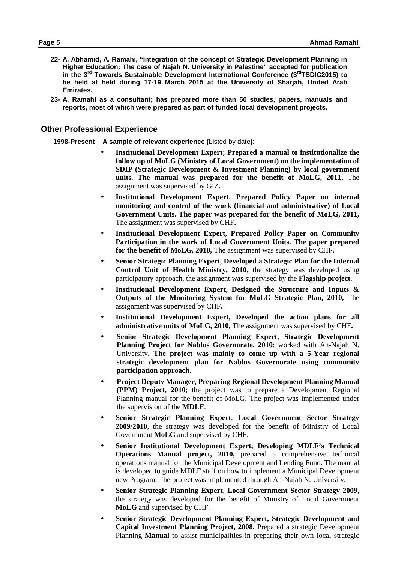- **22- A. Abhamid, A. Ramahi, "Integration of the concept of Strategic Development Planning in Higher Education: The case of Najah N. University in Palestine" accepted for publication in the 3 rd Towards Sustainable Development International Conference (3rdTSDIC2015) to be held at held during 17-19 March 2015 at the University of Sharjah, United Arab Emirates.**
- **23- A. Ramahi as a consultant; has prepared more than 50 studies, papers, manuals and reports, most of which were prepared as part of funded local development projects.**

#### **Other Professional Experience**

**1998-Present A sample of relevant experience (**Listed by date**)**:

- **Institutional Development Expert; Prepared a manual to institutionalize the follow up of MoLG (Ministry of Local Government) on the implementation of SDIP (Strategic Development & Investment Planning) by local government units. The manual was prepared for the benefit of MoLG, 2011,** The assignment was supervised by GIZ**.**
- **Institutional Development Expert, Prepared Policy Paper on internal monitoring and control of the work (financial and administrative) of Local Government Units. The paper was prepared for the benefit of MoLG, 2011,** The assignment was supervised by CHF**.**
- **Institutional Development Expert, Prepared Policy Paper on Community Participation in the work of Local Government Units. The paper prepared for the benefit of MoLG, 2010,** The assignment was supervised by CHF**.**
- **Senior Strategic Planning Expert**, **Developed a Strategic Plan for the Internal Control Unit of Health Ministry, 2010**, the strategy was developed using participatory approach, the assignment was supervised by the **Flagship project**.
- **Institutional Development Expert, Designed the Structure and Inputs & Outputs of the Monitoring System for MoLG Strategic Plan, 2010,** The assignment was supervised by CHF**.**
- **Institutional Development Expert, Developed the action plans for all administrative units of MoLG, 2010,** The assignment was supervised by CHF**.**
- **Senior Strategic Development Planning Expert**, **Strategic Development Planning Project for Nablus Governorate, 2010**; worked with An-Najah N. University. **The project was mainly to come up with a 5-Year regional strategic development plan for Nablus Governorate using community participation approach**.
- **Project Deputy Manager, Preparing Regional Development Planning Manual (PPM) Project, 2010**; the project was to prepare a Development Regional Planning manual for the benefit of MoLG. The project was implemented under the supervision of the **MDLF**.
- **Senior Strategic Planning Expert**, **Local Government Sector Strategy 2009/2010**, the strategy was developed for the benefit of Ministry of Local Government **MoLG** and supervised by CHF.
- **Senior Institutional Development Expert, Developing MDLF's Technical Operations Manual project, 2010,** prepared a comprehensive technical operations manual for the Municipal Development and Lending Fund. The manual is developed to guide MDLF staff on how to implement a Municipal Development new Program. The project was implemented through An-Najah N. University.
- **Senior Strategic Planning Expert**, **Local Government Sector Strategy 2009**, the strategy was developed for the benefit of Ministry of Local Government **MoLG** and supervised by CHF.
- **Senior Strategic Development Planning Expert, Strategic Development and Capital Investment Planning Project, 2008.** Prepared a strategic Development Planning **Manual** to assist municipalities in preparing their own local strategic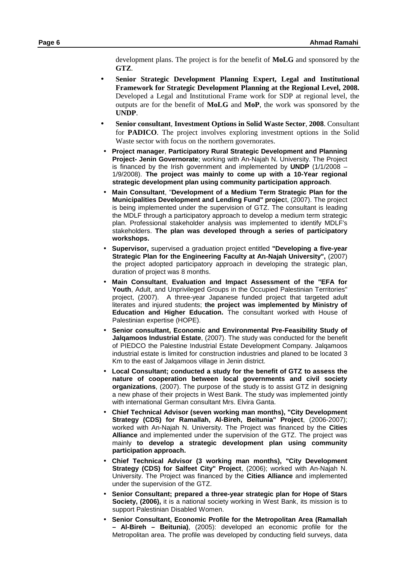development plans. The project is for the benefit of **MoLG** and sponsored by the **GTZ**.

- **Senior Strategic Development Planning Expert, Legal and Institutional Framework for Strategic Development Planning at the Regional Level, 2008.** Developed a Legal and Institutional Frame work for SDP at regional level, the outputs are for the benefit of **MoLG** and **MoP**, the work was sponsored by the **UNDP**.
- **Senior consultant**, **Investment Options in Solid Waste Sector**, **2008**. Consultant for **PADICO**. The project involves exploring investment options in the Solid Waste sector with focus on the northern governorates.
- **Project manager**, **Participatory Rural Strategic Development and Planning Project- Jenin Governorate**; working with An-Najah N. University. The Project is financed by the Irish government and implemented by **UNDP** (1/1/2008 – 1/9/2008). **The project was mainly to come up with a 10-Year regional strategic development plan using community participation approach**.
- **Main Consultant**, "**Development of a Medium Term Strategic Plan for the Municipalities Development and Lending Fund" projec**t, (2007). The project is being implemented under the supervision of GTZ. The consultant is leading the MDLF through a participatory approach to develop a medium term strategic plan. Professional stakeholder analysis was implemented to identify MDLF's stakeholders. **The plan was developed through a series of participatory workshops.**
- **Supervisor,** supervised a graduation project entitled **"Developing a five-year Strategic Plan for the Engineering Faculty at An-Najah University",** (2007) the project adopted participatory approach in developing the strategic plan, duration of project was 8 months.
- **Main Consultant**, **Evaluation and Impact Assessment of the "EFA for Youth**, Adult, and Unprivileged Groups in the Occupied Palestinian Territories" project, (2007). A three-year Japanese funded project that targeted adult literates and injured students; **the project was implemented by Ministry of Education and Higher Education.** The consultant worked with House of Palestinian expertise (HOPE).
- **Senior consultant, Economic and Environmental Pre-Feasibility Study of Jalqamoos Industrial Estate**, (2007). The study was conducted for the benefit of PIEDCO the Palestine Industrial Estate Development Company. Jalqamoos industrial estate is limited for construction industries and planed to be located 3 Km to the east of Jalqamoos village in Jenin district.
- **Local Consultant; conducted a study for the benefit of GTZ to assess the nature of cooperation between local governments and civil society organizations**, (2007). The purpose of the study is to assist GTZ in designing a new phase of their projects in West Bank. The study was implemented jointly with international German consultant Mrs. Elvira Ganta.
- **Chief Technical Advisor (seven working man months), "City Development Strategy (CDS) for Ramallah, Al-Bireh, Beitunia" Project**, (2006-2007); worked with An-Najah N. University. The Project was financed by the **Cities Alliance** and implemented under the supervision of the GTZ. The project was mainly **to develop a strategic development plan using community participation approach.**
- **Chief Technical Advisor (3 working man months), "City Development Strategy (CDS) for Salfeet City" Project**, (2006); worked with An-Najah N. University. The Project was financed by the **Cities Alliance** and implemented under the supervision of the GTZ.
- **Senior Consultant; prepared a three-year strategic plan for Hope of Stars Society, (2006),** it is a national society working in West Bank, its mission is to support Palestinian Disabled Women.
- **Senior Consultant, Economic Profile for the Metropolitan Area (Ramallah – Al-Bireh – Beitunia)**, (2005): developed an economic profile for the Metropolitan area. The profile was developed by conducting field surveys, data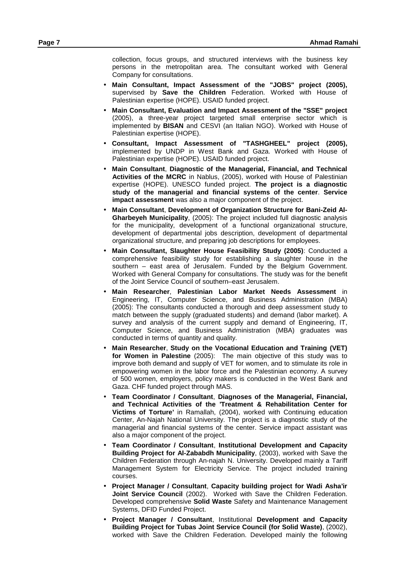collection, focus groups, and structured interviews with the business key persons in the metropolitan area. The consultant worked with General Company for consultations.

- **Main Consultant, Impact Assessment of the "JOBS" project (2005),** supervised by **Save the Children** Federation. Worked with House of Palestinian expertise (HOPE). USAID funded project.
- **Main Consultant, Evaluation and Impact Assessment of the "SSE" project** (2005), a three-year project targeted small enterprise sector which is implemented by **BISAN** and CESVI (an Italian NGO). Worked with House of Palestinian expertise (HOPE).
- **Consultant, Impact Assessment of "TASHGHEEL" project (2005),** implemented by UNDP in West Bank and Gaza. Worked with House of Palestinian expertise (HOPE). USAID funded project.
- **Main Consultant**, **Diagnostic of the Managerial, Financial, and Technical Activities of the MCRC** in Nablus, (2005), worked with House of Palestinian expertise (HOPE). UNESCO funded project. **The project is a diagnostic study of the managerial and financial systems of the center**. **Service impact assessment** was also a major component of the project.
- **Main Consultant**, **Development of Organization Structure for Bani-Zeid Al- Gharbeyeh Municipality**, (2005): The project included full diagnostic analysis for the municipality, development of a functional organizational structure, development of departmental jobs description, development of departmental organizational structure, and preparing job descriptions for employees.
- **Main Consultant, Slaughter House Feasibility Study (2005)**: Conducted a comprehensive feasibility study for establishing a slaughter house in the southern – east area of Jerusalem. Funded by the Belgium Government. Worked with General Company for consultations. The study was for the benefit of the Joint Service Council of southern–east Jerusalem.
- **Main Researcher**, **Palestinian Labor Market Needs Assessment** in Engineering, IT, Computer Science, and Business Administration (MBA) (2005): The consultants conducted a thorough and deep assessment study to match between the supply (graduated students) and demand (labor market). A survey and analysis of the current supply and demand of Engineering, IT, Computer Science, and Business Administration (MBA) graduates was conducted in terms of quantity and quality.
- **Main Researcher**, **Study on the Vocational Education and Training (VET) for Women in Palestine** (2005): The main objective of this study was to improve both demand and supply of VET for women, and to stimulate its role in empowering women in the labor force and the Palestinian economy. A survey of 500 women, employers, policy makers is conducted in the West Bank and Gaza. CHF funded project through MAS.
- **Team Coordinator / Consultant**, **Diagnoses of the Managerial, Financial, and Technical Activities of the 'Treatment & Rehabilitation Center for Victims of Torture'** in Ramallah, (2004), worked with Continuing education Center, An-Najah National University. The project is a diagnostic study of the managerial and financial systems of the center. Service impact assistant was also a major component of the project.
- **Team Coordinator / Consultant**, **Institutional Development and Capacity Building Project for Al-Zababdh Municipality**, (2003), worked with Save the Children Federation through An-najah N. University. Developed mainly a Tariff Management System for Electricity Service. The project included training courses.
- **Project Manager / Consultant**, **Capacity building project for Wadi Asha'ir Joint Service Council** (2002). Worked with Save the Children Federation. Developed comprehensive **Solid Waste** Safety and Maintenance Management Systems, DFID Funded Project.
- **Project Manager / Consultant**, Institutional **Development and Capacity Building Project for Tubas Joint Service Council (for Solid Waste)**, (2002), worked with Save the Children Federation. Developed mainly the following